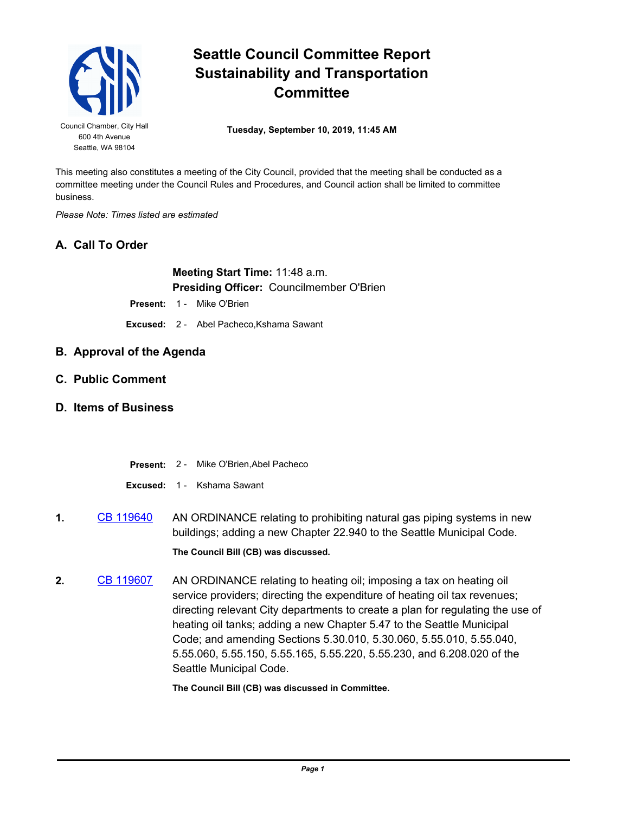

## **Seattle Council Committee Report Sustainability and Transportation Committee**

Council Chamber, City Hall **Tuesday, September 10, 2019, 11:45 AM** 

This meeting also constitutes a meeting of the City Council, provided that the meeting shall be conducted as a committee meeting under the Council Rules and Procedures, and Council action shall be limited to committee business.

*Please Note: Times listed are estimated*

## **A. Call To Order**

**Meeting Start Time:** 11:48 a.m. **Presiding Officer:** Councilmember O'Brien

Present: 1 - Mike O'Brien

**Excused:** 2 - Abel Pacheco,Kshama Sawant

- **B. Approval of the Agenda**
- **C. Public Comment**
- **D. Items of Business**
	- **Present:** 2 Mike O'Brien,Abel Pacheco

**Excused:** 1 - Kshama Sawant

- **1.** [CB 119640](http://seattle.legistar.com/gateway.aspx?m=l&id=/matter.aspx?key=9066) AN ORDINANCE relating to prohibiting natural gas piping systems in new buildings; adding a new Chapter 22.940 to the Seattle Municipal Code. **The Council Bill (CB) was discussed.**
- **2.** [CB 119607](http://seattle.legistar.com/gateway.aspx?m=l&id=/matter.aspx?key=8863) AN ORDINANCE relating to heating oil; imposing a tax on heating oil service providers; directing the expenditure of heating oil tax revenues; directing relevant City departments to create a plan for regulating the use of heating oil tanks; adding a new Chapter 5.47 to the Seattle Municipal Code; and amending Sections 5.30.010, 5.30.060, 5.55.010, 5.55.040, 5.55.060, 5.55.150, 5.55.165, 5.55.220, 5.55.230, and 6.208.020 of the Seattle Municipal Code.

**The Council Bill (CB) was discussed in Committee.**